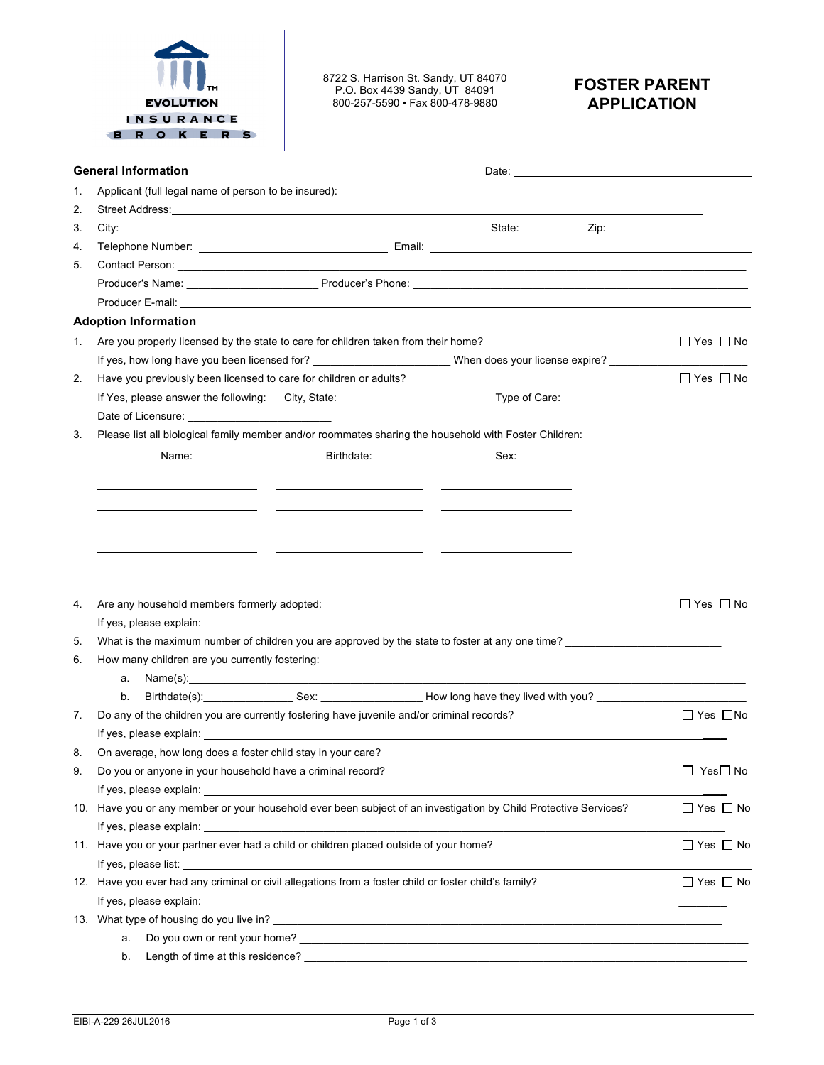|    | <b>EVOLUTION</b><br>INSURANCE<br>R O K E R S                                                                                                                                                                                         | 8722 S. Harrison St. Sandy, UT 84070<br>P.O. Box 4439 Sandy, UT 84091<br>800-257-5590 · Fax 800-478-9880                                                                                                                                                                                                                                                                                                                                                                      |      | <b>FOSTER PARENT</b><br><b>APPLICATION</b> |                      |  |  |  |
|----|--------------------------------------------------------------------------------------------------------------------------------------------------------------------------------------------------------------------------------------|-------------------------------------------------------------------------------------------------------------------------------------------------------------------------------------------------------------------------------------------------------------------------------------------------------------------------------------------------------------------------------------------------------------------------------------------------------------------------------|------|--------------------------------------------|----------------------|--|--|--|
|    | <b>General Information</b>                                                                                                                                                                                                           |                                                                                                                                                                                                                                                                                                                                                                                                                                                                               |      |                                            |                      |  |  |  |
| 1. |                                                                                                                                                                                                                                      |                                                                                                                                                                                                                                                                                                                                                                                                                                                                               |      |                                            |                      |  |  |  |
| 2. |                                                                                                                                                                                                                                      |                                                                                                                                                                                                                                                                                                                                                                                                                                                                               |      |                                            |                      |  |  |  |
| 3. |                                                                                                                                                                                                                                      |                                                                                                                                                                                                                                                                                                                                                                                                                                                                               |      |                                            |                      |  |  |  |
| 4. |                                                                                                                                                                                                                                      |                                                                                                                                                                                                                                                                                                                                                                                                                                                                               |      |                                            |                      |  |  |  |
| 5. | Contact Person: <u>Contact Person:</u> Contact Person: Contact Person: Contact Person: Contact Person: Contact Person: Contact Person: Contact Person: Contact Person: Contact Person: Contact Person: Contact Person: Contact Pers  |                                                                                                                                                                                                                                                                                                                                                                                                                                                                               |      |                                            |                      |  |  |  |
|    |                                                                                                                                                                                                                                      |                                                                                                                                                                                                                                                                                                                                                                                                                                                                               |      |                                            |                      |  |  |  |
|    |                                                                                                                                                                                                                                      |                                                                                                                                                                                                                                                                                                                                                                                                                                                                               |      |                                            |                      |  |  |  |
|    | <b>Adoption Information</b>                                                                                                                                                                                                          |                                                                                                                                                                                                                                                                                                                                                                                                                                                                               |      |                                            |                      |  |  |  |
| 1. | Are you properly licensed by the state to care for children taken from their home?                                                                                                                                                   |                                                                                                                                                                                                                                                                                                                                                                                                                                                                               |      |                                            | $\Box$ Yes $\Box$ No |  |  |  |
|    | If yes, how long have you been licensed for? ____________________________When does your license expire? ______________                                                                                                               |                                                                                                                                                                                                                                                                                                                                                                                                                                                                               |      |                                            |                      |  |  |  |
| 2. | Have you previously been licensed to care for children or adults?                                                                                                                                                                    |                                                                                                                                                                                                                                                                                                                                                                                                                                                                               |      |                                            | $\Box$ Yes $\Box$ No |  |  |  |
|    |                                                                                                                                                                                                                                      |                                                                                                                                                                                                                                                                                                                                                                                                                                                                               |      |                                            |                      |  |  |  |
|    | Date of Licensure: _____________________________                                                                                                                                                                                     |                                                                                                                                                                                                                                                                                                                                                                                                                                                                               |      |                                            |                      |  |  |  |
| 3. | Please list all biological family member and/or roommates sharing the household with Foster Children:                                                                                                                                |                                                                                                                                                                                                                                                                                                                                                                                                                                                                               |      |                                            |                      |  |  |  |
|    | Name:                                                                                                                                                                                                                                | Birthdate:                                                                                                                                                                                                                                                                                                                                                                                                                                                                    | Sex: |                                            |                      |  |  |  |
|    |                                                                                                                                                                                                                                      |                                                                                                                                                                                                                                                                                                                                                                                                                                                                               |      |                                            |                      |  |  |  |
|    |                                                                                                                                                                                                                                      |                                                                                                                                                                                                                                                                                                                                                                                                                                                                               |      |                                            |                      |  |  |  |
|    |                                                                                                                                                                                                                                      |                                                                                                                                                                                                                                                                                                                                                                                                                                                                               |      |                                            |                      |  |  |  |
|    |                                                                                                                                                                                                                                      | <u> 1989 - Andrea Stadt Britain, amerikansk politik (* 1908)</u>                                                                                                                                                                                                                                                                                                                                                                                                              |      |                                            |                      |  |  |  |
|    |                                                                                                                                                                                                                                      |                                                                                                                                                                                                                                                                                                                                                                                                                                                                               |      |                                            |                      |  |  |  |
|    |                                                                                                                                                                                                                                      |                                                                                                                                                                                                                                                                                                                                                                                                                                                                               |      |                                            |                      |  |  |  |
| 4. |                                                                                                                                                                                                                                      | $\Box$ Yes $\Box$ No                                                                                                                                                                                                                                                                                                                                                                                                                                                          |      |                                            |                      |  |  |  |
|    | Are any household members formerly adopted:                                                                                                                                                                                          |                                                                                                                                                                                                                                                                                                                                                                                                                                                                               |      |                                            |                      |  |  |  |
| 5. | If yes, please explain: If yes, please explain:<br>What is the maximum number of children you are approved by the state to foster at any one time?                                                                                   |                                                                                                                                                                                                                                                                                                                                                                                                                                                                               |      |                                            |                      |  |  |  |
|    |                                                                                                                                                                                                                                      |                                                                                                                                                                                                                                                                                                                                                                                                                                                                               |      |                                            |                      |  |  |  |
| 6. |                                                                                                                                                                                                                                      |                                                                                                                                                                                                                                                                                                                                                                                                                                                                               |      |                                            |                      |  |  |  |
|    | a.                                                                                                                                                                                                                                   | $Name(s):$ $\qquad \qquad$ $\qquad \qquad$ $\qquad \qquad$ $\qquad \qquad$ $\qquad \qquad$ $\qquad \qquad$ $\qquad \qquad$ $\qquad \qquad$ $\qquad \qquad$ $\qquad \qquad$ $\qquad \qquad$ $\qquad \qquad$ $\qquad \qquad$ $\qquad \qquad$ $\qquad \qquad$ $\qquad \qquad$ $\qquad \qquad$ $\qquad \qquad$ $\qquad \qquad$ $\qquad \qquad$ $\qquad \qquad$ $\qquad \qquad$ $\qquad \qquad$ $\qquad \qquad$<br>Birthdate(s): Sex: Sex: Sex: Now long have they lived with you? |      |                                            |                      |  |  |  |
| 7. | b.<br>Do any of the children you are currently fostering have juvenile and/or criminal records?                                                                                                                                      |                                                                                                                                                                                                                                                                                                                                                                                                                                                                               |      |                                            | □ Yes □No            |  |  |  |
|    | If yes, please explain: example and a set of the set of the set of the set of the set of the set of the set of the set of the set of the set of the set of the set of the set of the set of the set of the set of the set of t       |                                                                                                                                                                                                                                                                                                                                                                                                                                                                               |      |                                            |                      |  |  |  |
| 8. |                                                                                                                                                                                                                                      |                                                                                                                                                                                                                                                                                                                                                                                                                                                                               |      |                                            |                      |  |  |  |
| 9. | Do you or anyone in your household have a criminal record?                                                                                                                                                                           |                                                                                                                                                                                                                                                                                                                                                                                                                                                                               |      |                                            | $\Box$ Yes $\Box$ No |  |  |  |
|    |                                                                                                                                                                                                                                      |                                                                                                                                                                                                                                                                                                                                                                                                                                                                               |      |                                            |                      |  |  |  |
|    | 10. Have you or any member or your household ever been subject of an investigation by Child Protective Services?                                                                                                                     |                                                                                                                                                                                                                                                                                                                                                                                                                                                                               |      |                                            | $\Box$ Yes $\Box$ No |  |  |  |
|    | If yes, please explain: <b>All any of the set of the set of the set of the set of the set of the set of the set of the set of the set of the set of the set of the set of the set of the set of the set of the set of the set of</b> |                                                                                                                                                                                                                                                                                                                                                                                                                                                                               |      |                                            |                      |  |  |  |
|    |                                                                                                                                                                                                                                      |                                                                                                                                                                                                                                                                                                                                                                                                                                                                               |      |                                            | $\Box$ Yes $\Box$ No |  |  |  |
|    | 11. Have you or your partner ever had a child or children placed outside of your home?                                                                                                                                               |                                                                                                                                                                                                                                                                                                                                                                                                                                                                               |      |                                            |                      |  |  |  |
|    | 12. Have you ever had any criminal or civil allegations from a foster child or foster child's family?                                                                                                                                |                                                                                                                                                                                                                                                                                                                                                                                                                                                                               |      |                                            |                      |  |  |  |
|    |                                                                                                                                                                                                                                      |                                                                                                                                                                                                                                                                                                                                                                                                                                                                               |      |                                            | $\Box$ Yes $\Box$ No |  |  |  |
|    | If yes, please explain: example and the set of the set of the set of the set of the set of the set of the set of the set of the set of the set of the set of the set of the set of the set of the set of the set of the set of       |                                                                                                                                                                                                                                                                                                                                                                                                                                                                               |      |                                            |                      |  |  |  |
|    | a.                                                                                                                                                                                                                                   |                                                                                                                                                                                                                                                                                                                                                                                                                                                                               |      |                                            |                      |  |  |  |
|    | b.                                                                                                                                                                                                                                   |                                                                                                                                                                                                                                                                                                                                                                                                                                                                               |      |                                            |                      |  |  |  |
|    |                                                                                                                                                                                                                                      |                                                                                                                                                                                                                                                                                                                                                                                                                                                                               |      |                                            |                      |  |  |  |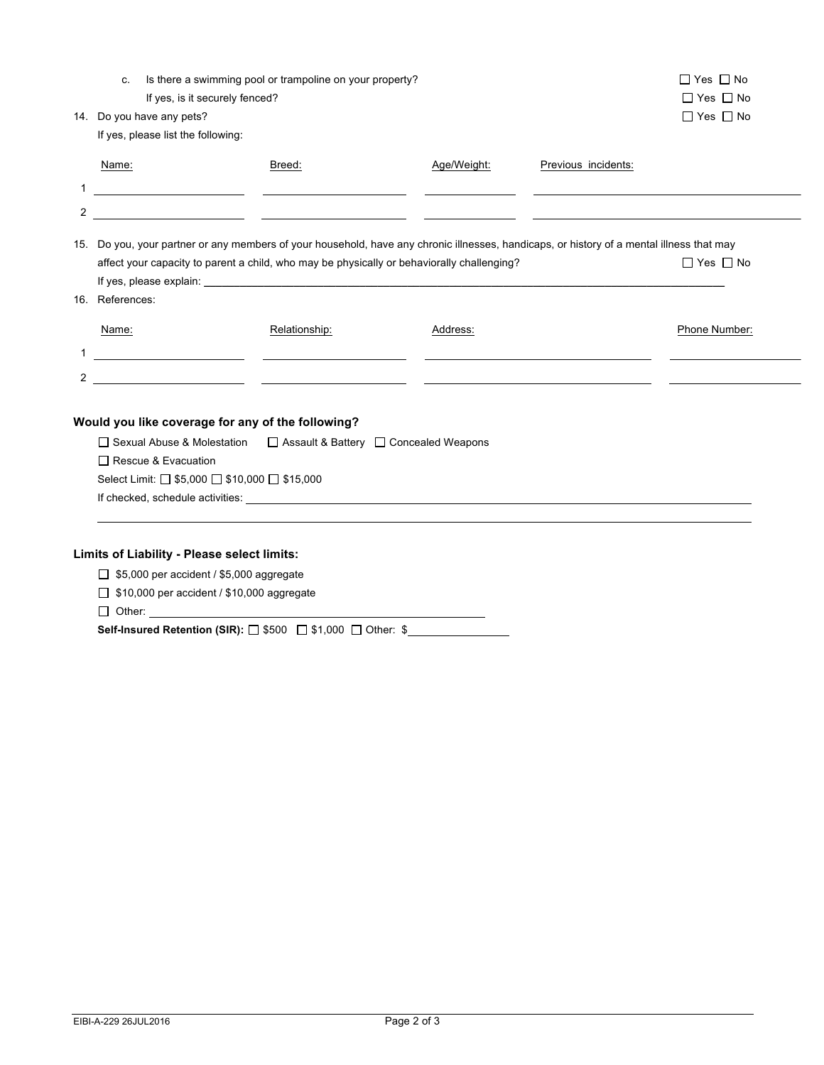| C.                                 | Is there a swimming pool or trampoline on your property?                                                                                                                                                                       |             |                     | $\Box$ Yes $\Box$ No |  |  |  |
|------------------------------------|--------------------------------------------------------------------------------------------------------------------------------------------------------------------------------------------------------------------------------|-------------|---------------------|----------------------|--|--|--|
|                                    | If yes, is it securely fenced?                                                                                                                                                                                                 |             |                     | $\Box$ Yes $\Box$ No |  |  |  |
| 14. Do you have any pets?          |                                                                                                                                                                                                                                |             |                     | $\Box$ Yes $\Box$ No |  |  |  |
| If yes, please list the following: |                                                                                                                                                                                                                                |             |                     |                      |  |  |  |
| Name:                              | Breed:                                                                                                                                                                                                                         | Age/Weight: | Previous incidents: |                      |  |  |  |
| 1                                  | <u> 1989 - Johann Barbara, martxa a shekara 1989 - An</u><br><u> The Communication of the Communication</u>                                                                                                                    |             |                     |                      |  |  |  |
| 2                                  |                                                                                                                                                                                                                                |             |                     |                      |  |  |  |
|                                    | 15. Do you, your partner or any members of your household, have any chronic illnesses, handicaps, or history of a mental illness that may                                                                                      |             |                     |                      |  |  |  |
|                                    | affect your capacity to parent a child, who may be physically or behaviorally challenging?                                                                                                                                     |             |                     |                      |  |  |  |
|                                    |                                                                                                                                                                                                                                |             |                     |                      |  |  |  |
| 16. References:                    |                                                                                                                                                                                                                                |             |                     |                      |  |  |  |
| Name:                              | Relationship:                                                                                                                                                                                                                  | Address:    |                     | Phone Number:        |  |  |  |
|                                    | <u> 1990 - Jan Alexandria (h. 1980).</u><br><u> 1989 - Johann Stein, fransk politik (</u>                                                                                                                                      |             |                     |                      |  |  |  |
| 2                                  |                                                                                                                                                                                                                                |             |                     |                      |  |  |  |
|                                    |                                                                                                                                                                                                                                |             |                     |                      |  |  |  |
|                                    | Would you like coverage for any of the following?                                                                                                                                                                              |             |                     |                      |  |  |  |
|                                    | □ Sexual Abuse & Molestation<br>□ Assault & Battery □ Concealed Weapons                                                                                                                                                        |             |                     |                      |  |  |  |
| □ Rescue & Evacuation              |                                                                                                                                                                                                                                |             |                     |                      |  |  |  |
|                                    | Select Limit: □ \$5,000 □ \$10,000 □ \$15,000                                                                                                                                                                                  |             |                     |                      |  |  |  |
|                                    | If checked, schedule activities: Letter and the state of the state of the state of the state of the state of the state of the state of the state of the state of the state of the state of the state of the state of the state |             |                     |                      |  |  |  |
|                                    |                                                                                                                                                                                                                                |             |                     |                      |  |  |  |
|                                    |                                                                                                                                                                                                                                |             |                     |                      |  |  |  |
|                                    | Limits of Liability - Please select limits:                                                                                                                                                                                    |             |                     |                      |  |  |  |
|                                    | $\Box$ \$5,000 per accident / \$5,000 aggregate                                                                                                                                                                                |             |                     |                      |  |  |  |

\$10,000 per accident / \$10,000 aggregate

 $\Box$  Other:

**Self-Insured Retention (SIR):**  $\Box$  \$500  $\Box$  \$1,000  $\Box$  Other: \$\_\_\_\_\_\_\_\_\_\_\_\_\_\_\_